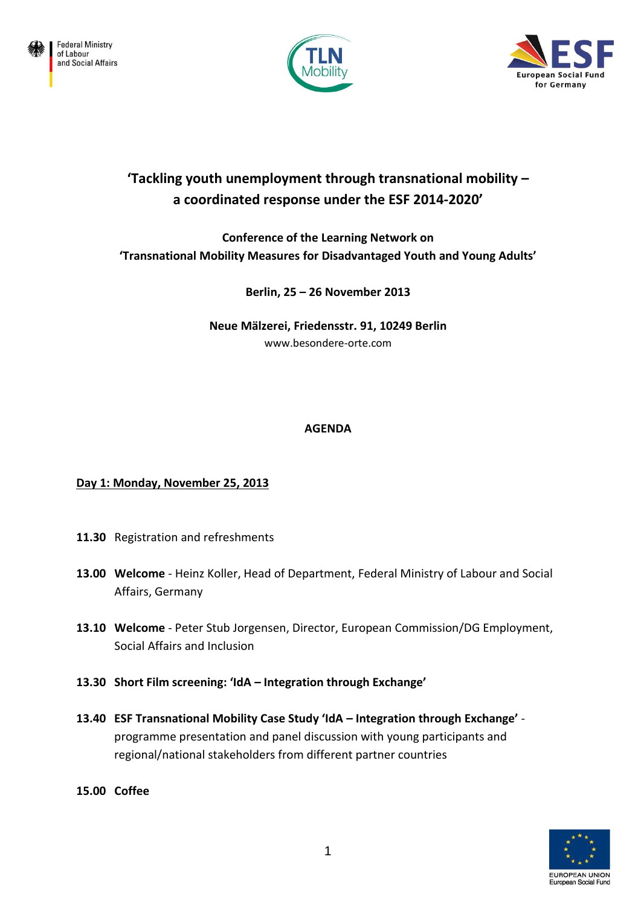





# **'Tackling youth unemployment through transnational mobility – a coordinated response under the ESF 2014-2020'**

**Conference of the Learning Network on 'Transnational Mobility Measures for Disadvantaged Youth and Young Adults'**

**Berlin, 25 – 26 November 2013**

**Neue Mälzerei, Friedensstr. 91, 10249 Berlin** www.besondere-orte.com

## **AGENDA**

# **Day 1: Monday, November 25, 2013**

- **11.30** Registration and refreshments
- **13.00 Welcome** Heinz Koller, Head of Department, Federal Ministry of Labour and Social Affairs, Germany
- **13.10 Welcome** Peter Stub Jorgensen, Director, European Commission/DG Employment, Social Affairs and Inclusion
- **13.30 Short Film screening: 'IdA – Integration through Exchange'**
- **13.40 ESF Transnational Mobility Case Study 'IdA – Integration through Exchange'**  programme presentation and panel discussion with young participants and regional/national stakeholders from different partner countries
- **15.00 Coffee**

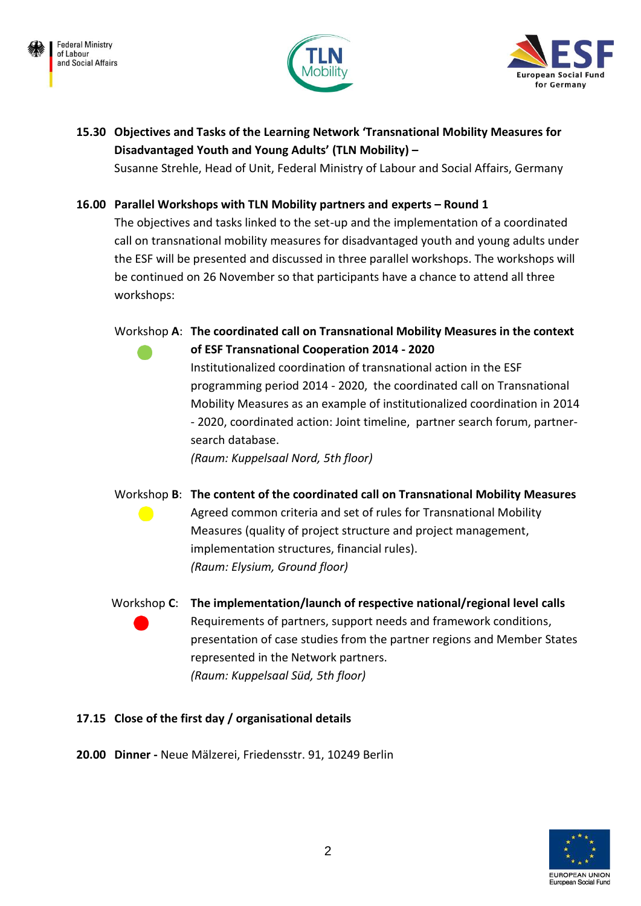





# **15.30 Objectives and Tasks of the Learning Network 'Transnational Mobility Measures for Disadvantaged Youth and Young Adults' (TLN Mobility) –**

Susanne Strehle, Head of Unit, Federal Ministry of Labour and Social Affairs, Germany

# **16.00 Parallel Workshops with TLN Mobility partners and experts – Round 1**

The objectives and tasks linked to the set-up and the implementation of a coordinated call on transnational mobility measures for disadvantaged youth and young adults under the ESF will be presented and discussed in three parallel workshops. The workshops will be continued on 26 November so that participants have a chance to attend all three workshops:

Workshop **A**: **The coordinated call on Transnational Mobility Measures in the context of ESF Transnational Cooperation 2014 - 2020** 

> Institutionalized coordination of transnational action in the ESF programming period 2014 - 2020, the coordinated call on Transnational Mobility Measures as an example of institutionalized coordination in 2014 - 2020, coordinated action: Joint timeline, partner search forum, partnersearch database.

*(Raum: Kuppelsaal Nord, 5th floor)*

Workshop **B**: **The content of the coordinated call on Transnational Mobility Measures** Agreed common criteria and set of rules for Transnational Mobility Measures (quality of project structure and project management, implementation structures, financial rules). *(Raum: Elysium, Ground floor)*

 Workshop **C**: **The implementation/launch of respective national/regional level calls** Requirements of partners, support needs and framework conditions, presentation of case studies from the partner regions and Member States represented in the Network partners. *(Raum: Kuppelsaal Süd, 5th floor)*

## **17.15 Close of the first day / organisational details**

**20.00 Dinner -** Neue Mälzerei, Friedensstr. 91, 10249 Berlin